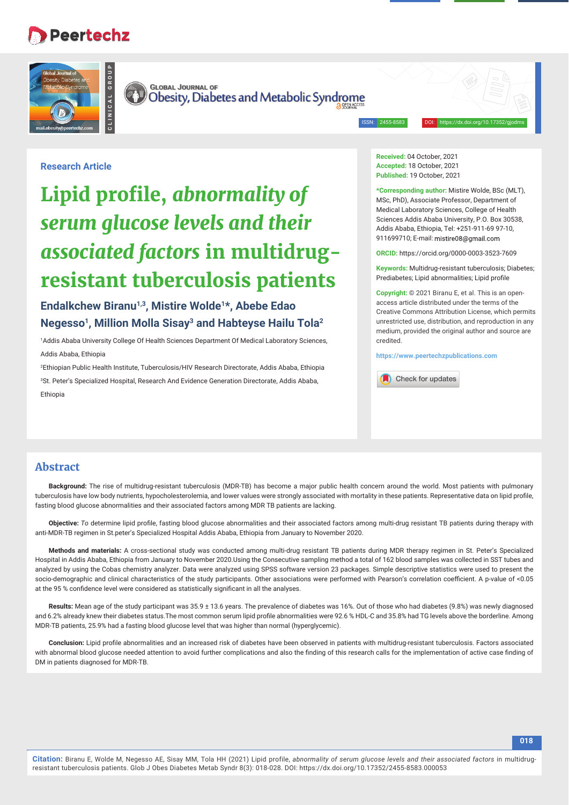## **Peertechz**



**GLOBAL JOURNAL OF** 

**CLINICAL GROUP**

Obesity, Diabetes and Metabolic Syndrome

ISSN: 2455-8583 DOI: https://dx.doi.org/10.17352/gjodms

## **Research Article**

# Lipid profile, *abnormality of serum glucose levels and their associated factors* **in multidrugresistant tuberculosis patients**

## **Endalkchew Biranu1,3, Mistire Wolde1\*, Abebe Edao Negesso1, Million Molla Sisay3 and Habteyse Hailu Tola2**

1 Addis Ababa University College Of Health Sciences Department Of Medical Laboratory Sciences, Addis Ababa, Ethiopia

2 Ethiopian Public Health Institute, Tuberculosis/HIV Research Directorate, Addis Ababa, Ethiopia 3 St. Peter's Specialized Hospital, Research And Evidence Generation Directorate, Addis Ababa,

Ethiopia

**Received:** 04 October, 2021 **Accepted:** 18 October, 2021 **Published:** 19 October, 2021

**\*Corresponding author:** Mistire Wolde, BSc (MLT), MSc, PhD), Associate Professor, Department of Medical Laboratory Sciences, College of Health Sciences Addis Ababa University, P.O. Box 30538, Addis Ababa, Ethiopia, Tel: +251-911-69 97-10, 911699710; E-mail: mistire08@gmail.com

**ORCID:** https://orcid.org/0000-0003-3523-7609

**Keywords:** Multidrug-resistant tuberculosis; Diabetes; Prediabetes; Lipid abnormalities; Lipid profile

**Copyright:** © 2021 Biranu E, et al. This is an openaccess article distributed under the terms of the Creative Commons Attribution License, which permits unrestricted use, distribution, and reproduction in any medium, provided the original author and source are credited.

**https://www.peertechzpublications.com**

Check for updates

## **Abstract**

**Background:** The rise of multidrug-resistant tuberculosis (MDR-TB) has become a major public health concern around the world. Most patients with pulmonary tuberculosis have low body nutrients, hypocholesterolemia, and lower values were strongly associated with mortality in these patients. Representative data on lipid profile, fasting blood glucose abnormalities and their associated factors among MDR TB patients are lacking.

Objective: To determine lipid profile, fasting blood glucose abnormalities and their associated factors among multi-drug resistant TB patients during therapy with anti-MDR-TB regimen in St.peter's Specialized Hospital Addis Ababa, Ethiopia from January to November 2020.

**Methods and materials:** A cross-sectional study was conducted among multi-drug resistant TB patients during MDR therapy regimen in St. Peter's Specialized Hospital in Addis Ababa, Ethiopia from January to November 2020.Using the Consecutive sampling method a total of 162 blood samples was collected in SST tubes and analyzed by using the Cobas chemistry analyzer. Data were analyzed using SPSS software version 23 packages. Simple descriptive statistics were used to present the socio-demographic and clinical characteristics of the study participants. Other associations were performed with Pearson's correlation coefficient. A p-value of <0.05 at the 95 % confidence level were considered as statistically significant in all the analyses.

**Results:** Mean age of the study participant was 35.9 ± 13.6 years. The prevalence of diabetes was 16%. Out of those who had diabetes (9.8%) was newly diagnosed and 6.2% already knew their diabetes status.The most common serum lipid profile abnormalities were 92.6 % HDL-C and 35.8% had TG levels above the borderline. Among MDR-TB patients, 25.9% had a fasting blood glucose level that was higher than normal (hyperglycemic).

Conclusion: Lipid profile abnormalities and an increased risk of diabetes have been observed in patients with multidrug-resistant tuberculosis. Factors associated with abnormal blood glucose needed attention to avoid further complications and also the finding of this research calls for the implementation of active case finding of DM in patients diagnosed for MDR-TB.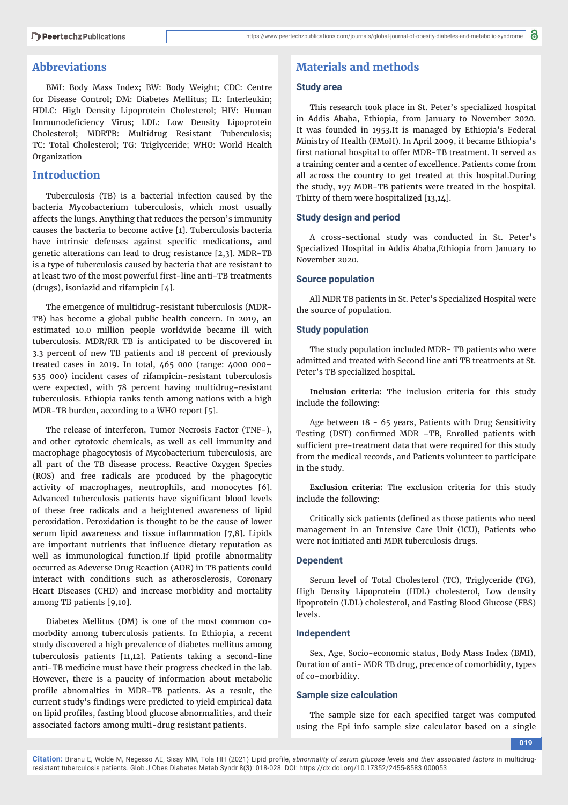## **Abbreviations**

BMI: Body Mass Index; BW: Body Weight; CDC: Centre for Disease Control; DM: Diabetes Mellitus; IL: Interleukin; HDLC: High Density Lipoprotein Cholesterol; HIV: Human Immunodeficiency Virus; LDL: Low Density Lipoprotein Cholesterol; MDRTB: Multidrug Resistant Tuberculosis; TC: Total Cholesterol; TG: Triglyceride; WHO: World Health Organization

## **Introduction**

Tuberculosis (TB) is a bacterial infection caused by the bacteria Mycobacterium tuberculosis, which most usually affects the lungs. Anything that reduces the person's immunity causes the bacteria to become active [1]. Tuberculosis bacteria have intrinsic defenses against specific medications, and genetic alterations can lead to drug resistance [2,3]. MDR-TB is a type of tuberculosis caused by bacteria that are resistant to at least two of the most powerful first-line anti-TB treatments (drugs), isoniazid and rifampicin [4].

The emergence of multidrug-resistant tuberculosis (MDR-TB) has become a global public health concern. In 2019, an estimated 10.0 million people worldwide became ill with tuberculosis. MDR/RR TB is anticipated to be discovered in 3.3 percent of new TB patients and 18 percent of previously treated cases in 2019. In total, 465 000 (range: 4000 000– 535 000) incident cases of rifampicin-resistant tuberculosis were expected, with 78 percent having multidrug-resistant tuberculosis. Ethiopia ranks tenth among nations with a high MDR-TB burden, according to a WHO report [5].

The release of interferon, Tumor Necrosis Factor (TNF-), and other cytotoxic chemicals, as well as cell immunity and macrophage phagocytosis of Mycobacterium tuberculosis, are all part of the TB disease process. Reactive Oxygen Species (ROS) and free radicals are produced by the phagocytic activity of macrophages, neutrophils, and monocytes [6]. Advanced tuberculosis patients have significant blood levels of these free radicals and a heightened awareness of lipid peroxidation. Peroxidation is thought to be the cause of lower serum lipid awareness and tissue inflammation  $[7,8]$ . Lipids are important nutrients that influence dietary reputation as well as immunological function.If lipid profile abnormality occurred as Adeverse Drug Reaction (ADR) in TB patients could interact with conditions such as atherosclerosis, Coronary Heart Diseases (CHD) and increase morbidity and mortality among TB patients [9,10].

Diabetes Mellitus (DM) is one of the most common comorbdity among tuberculosis patients. In Ethiopia, a recent study discovered a high prevalence of diabetes mellitus among tuberculosis patients [11,12]. Patients taking a second-line anti-TB medicine must have their progress checked in the lab. However, there is a paucity of information about metabolic profile abnomalties in MDR-TB patients. As a result, the current study's findings were predicted to yield empirical data on lipid profiles, fasting blood glucose abnormalities, and their associated factors among multi-drug resistant patients.

## **Materials and methods**

#### **Study area**

This research took place in St. Peter's specialized hospital in Addis Ababa, Ethiopia, from January to November 2020. It was founded in 1953.It is managed by Ethiopia's Federal Ministry of Health (FMoH). In April 2009, it became Ethiopia's first national hospital to offer MDR-TB treatment. It served as a training center and a center of excellence. Patients come from all across the country to get treated at this hospital.During the study, 197 MDR-TB patients were treated in the hospital. Thirty of them were hospitalized [13,14].

#### **Study design and period**

A cross-sectional study was conducted in St. Peter's Specialized Hospital in Addis Ababa,Ethiopia from January to November 2020.

#### **Source population**

All MDR TB patients in St. Peter's Specialized Hospital were the source of population.

#### **Study population**

The study population included MDR- TB patients who were admitted and treated with Second line anti TB treatments at St. Peter's TB specialized hospital.

**Inclusion criteria:** The inclusion criteria for this study include the following:

Age between 18 - 65 years, Patients with Drug Sensitivity Testing (DST) confirmed MDR -TB, Enrolled patients with sufficient pre-treatment data that were required for this study from the medical records, and Patients volunteer to participate in the study.

**Exclusion criteria:** The exclusion criteria for this study include the following:

Critically sick patients (defined as those patients who need management in an Intensive Care Unit (ICU), Patients who were not initiated anti MDR tuberculosis drugs.

#### **Dependent**

Serum level of Total Cholesterol (TC), Triglyceride (TG), High Density Lipoprotein (HDL) cholesterol, Low density lipoprotein (LDL) cholesterol, and Fasting Blood Glucose (FBS) levels.

#### **Independent**

Sex, Age, Socio-economic status, Body Mass Index (BMI), Duration of anti- MDR TB drug, precence of comorbidity, types of co-morbidity.

## **Sample size calculation**

The sample size for each specified target was computed using the Epi info sample size calculator based on a single

**019**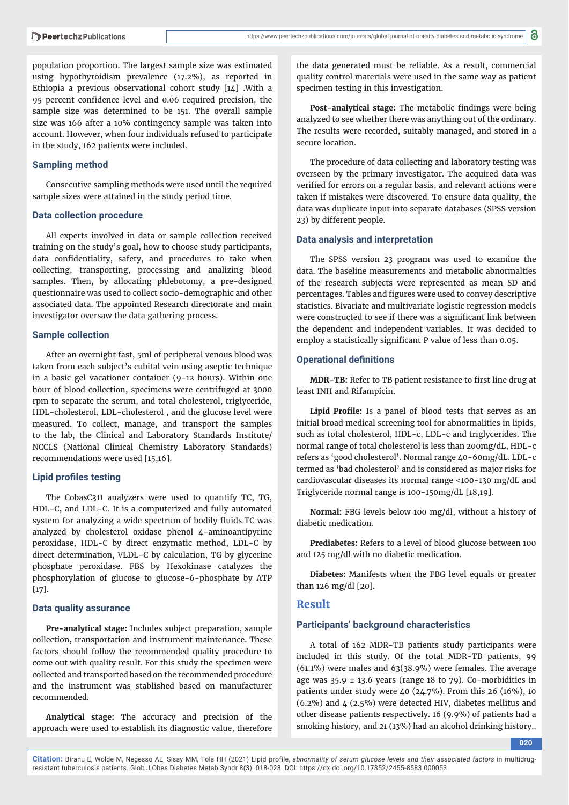population proportion. The largest sample size was estimated using hypothyroidism prevalence (17.2%), as reported in Ethiopia a previous observational cohort study [14] .With a 95 percent confidence level and 0.06 required precision, the sample size was determined to be 151. The overall sample size was 166 after a 10% contingency sample was taken into account. However, when four individuals refused to participate in the study, 162 patients were included.

#### **Sampling method**

Consecutive sampling methods were used until the required sample sizes were attained in the study period time.

#### **Data collection procedure**

All experts involved in data or sample collection received training on the study's goal, how to choose study participants, data confidentiality, safety, and procedures to take when collecting, transporting, processing and analizing blood samples. Then, by allocating phlebotomy, a pre-designed questionnaire was used to collect socio-demographic and other associated data. The appointed Research directorate and main investigator oversaw the data gathering process.

#### **Sample collection**

After an overnight fast, 5ml of peripheral venous blood was taken from each subject's cubital vein using aseptic technique in a basic gel vacationer container (9-12 hours). Within one hour of blood collection, specimens were centrifuged at 3000 rpm to separate the serum, and total cholesterol, triglyceride, HDL-cholesterol, LDL-cholesterol , and the glucose level were measured. To collect, manage, and transport the samples to the lab, the Clinical and Laboratory Standards Institute/ NCCLS (National Clinical Chemistry Laboratory Standards) recommendations were used [15,16].

#### **Lipid profiles testing**

The CobasC311 analyzers were used to quantify TC, TG, HDL-C, and LDL-C. It is a computerized and fully automated system for analyzing a wide spectrum of bodily fluids.TC was analyzed by cholesterol oxidase phenol 4-aminoantipyrine peroxidase, HDL-C by direct enzymatic method, LDL-C by direct determination, VLDL-C by calculation, TG by glycerine phosphate peroxidase. FBS by Hexokinase catalyzes the phosphorylation of glucose to glucose-6-phosphate by ATP [17].

#### **Data quality assurance**

**Pre-analytical stage:** Includes subject preparation, sample collection, transportation and instrument maintenance. These factors should follow the recommended quality procedure to come out with quality result. For this study the specimen were collected and transported based on the recommended procedure and the instrument was stablished based on manufacturer recommended.

**Analytical stage:** The accuracy and precision of the approach were used to establish its diagnostic value, therefore

the data generated must be reliable. As a result, commercial quality control materials were used in the same way as patient specimen testing in this investigation.

Post-analytical stage: The metabolic findings were being analyzed to see whether there was anything out of the ordinary. The results were recorded, suitably managed, and stored in a secure location.

The procedure of data collecting and laboratory testing was overseen by the primary investigator. The acquired data was verified for errors on a regular basis, and relevant actions were taken if mistakes were discovered. To ensure data quality, the data was duplicate input into separate databases (SPSS version 23) by different people.

#### **Data analysis and interpretation**

The SPSS version 23 program was used to examine the data. The baseline measurements and metabolic abnormalties of the research subjects were represented as mean SD and percentages. Tables and figures were used to convey descriptive statistics. Bivariate and multivariate logistic regression models were constructed to see if there was a significant link between the dependent and independent variables. It was decided to employ a statistically significant P value of less than 0.05.

#### **Operational definitions**

**MDR-TB:** Refer to TB patient resistance to first line drug at least INH and Rifampicin.

Lipid Profile: Is a panel of blood tests that serves as an initial broad medical screening tool for abnormalities in lipids, such as total cholesterol, HDL-c, LDL-c and triglycerides. The normal range of total cholesterol is less than 200mg/dL, HDL-c refers as 'good cholesterol'. Normal range 40-60mg/dL. LDL-c termed as 'bad cholesterol' and is considered as major risks for cardiovascular diseases its normal range <100-130 mg/dL and Triglyceride normal range is 100-150mg/dL [18,19].

**Normal:** FBG levels below 100 mg/dl, without a history of diabetic medication.

**Prediabetes:** Refers to a level of blood glucose between 100 and 125 mg/dl with no diabetic medication.

**Diabetes:** Manifests when the FBG level equals or greater than 126 mg/dl [20].

## **Result**

#### **Participants' background characteristics**

A total of 162 MDR-TB patients study participants were included in this study. Of the total MDR-TB patients, 99 (61.1%) were males and 63(38.9%) were females. The average age was  $35.9 \pm 13.6$  years (range 18 to 79). Co-morbidities in patients under study were 40 (24.7%). From this 26 (16%), 10  $(6.2\%)$  and  $4(2.5\%)$  were detected HIV, diabetes mellitus and other disease patients respectively. 16 (9.9%) of patients had a smoking history, and 21 (13%) had an alcohol drinking history..

**020**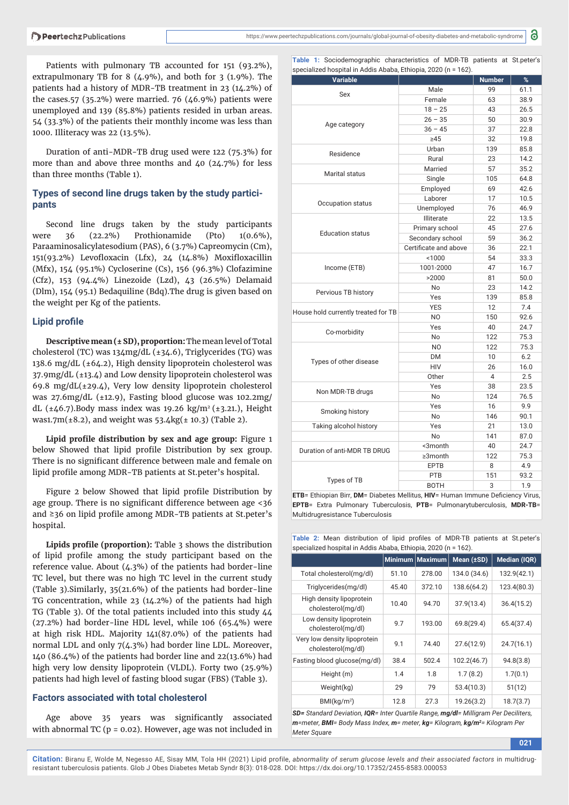Patients with pulmonary TB accounted for 151 (93.2%), extrapulmonary TB for 8  $(4.9\%)$ , and both for 3  $(1.9\%)$ . The patients had a history of MDR-TB treatment in 23 (14.2%) of the cases.57 (35.2%) were married. 76 (46.9%) patients were unemployed and 139 (85.8%) patients resided in urban areas. 54 (33.3%) of the patients their monthly income was less than 1000. Illiteracy was 22 (13.5%).

Duration of anti-MDR-TB drug used were 122 (75.3%) for more than and above three months and  $\mu$  (24.7%) for less than three months (Table 1).

## **Types of second line drugs taken by the study participants**

Second line drugs taken by the study participants were 36 (22.2%) Prothionamide (Pto) 1(0.6%), Paraaminosalicylatesodium (PAS), 6 (3.7%) Capreomycin (Cm), 151(93.2%) Levofloxacin (Lfx), 24 (14.8%) Moxifloxacillin (Mfx), 154 (95.1%) Cycloserine (Cs), 156 (96.3%) Clofazimine (Cfz), 153 (94.4%) Linezoide (Lzd), 43 (26.5%) Delamaid (Dlm), 154 (95.1) Bedaquiline (Bdq).The drug is given based on the weight per Kg of the patients.

#### **Lipid profile**

**Descriptive mean (± SD), proportion:** The mean level of Total cholesterol (TC) was 134mg/dL (±34.6), Triglycerides (TG) was 138.6 mg/dL  $(+64.2)$ , High density lipoprotein cholesterol was 37.9mg/dL (±13.4) and Low density lipoprotein cholesterol was 69.8 mg/dL $(\pm 29.4)$ , Very low density lipoprotein cholesterol was 27.6mg/dL (±12.9), Fasting blood glucose was 102.2mg/ dL ( $\pm$ 46.7).Body mass index was 19.26 kg/m<sup>2</sup> ( $\pm$ 3.21.), Height was1.7m(±8.2), and weight was 53.4kg(± 10.3) (Table 2).

Lipid profile distribution by sex and age group: Figure 1 below Showed that lipid profile Distribution by sex group. There is no significant difference between male and female on lipid profile among MDR-TB patients at St.peter's hospital.

Figure 2 below Showed that lipid profile Distribution by age group. There is no significant difference between age  $<$ 36 and ≥36 on lipid profile among MDR-TB patients at St.peter's hospital.

Lipids profile (proportion): Table 3 shows the distribution of lipid profile among the study participant based on the reference value. About (4.3%) of the patients had border-line TC level, but there was no high TC level in the current study (Table 3).Similarly, 35(21.6%) of the patients had border-line TG concentration, while 23 (14.2%) of the patients had high TG (Table 3). Of the total patients included into this study 44 (27.2%) had border-line HDL level, while 106 (65.4%) were at high risk HDL. Majority 141(87.0%) of the patients had normal LDL and only 7(4.3%) had border line LDL. Moreover, 140 (86.4%) of the patients had border line and 22(13.6%) had high very low density lipoprotein (VLDL). Forty two (25.9%) patients had high level of fasting blood sugar (FBS) (Table 3).

#### **Factors associated with total cholesterol**

Age above 35 years was significantly associated with abnormal TC ( $p = 0.02$ ). However, age was not included in

**Table 1:** Sociodemographic characteristics of MDR-TB patients at St.peter's specialized hospital in Addis Ababa, Ethiopia, 2020 (n = 162).

| <b>Variable</b>                     |                       | <b>Number</b> | %    |
|-------------------------------------|-----------------------|---------------|------|
| Sex                                 | Male                  | 99            | 61.1 |
|                                     | Female                | 63            | 38.9 |
|                                     | $18 - 25$             | 43            | 26.5 |
|                                     | $26 - 35$             | 50            | 30.9 |
| Age category                        | $36 - 45$             | 37            | 22.8 |
|                                     | >45                   | 32            | 19.8 |
| Residence                           | Urban                 | 139           | 85.8 |
|                                     | Rural                 | 23            | 14.2 |
| Marital status                      | Married               | 57            | 35.2 |
|                                     | Single                | 105           | 64.8 |
|                                     | Employed              | 69            | 42.6 |
| Occupation status                   | Laborer               | 17            | 10.5 |
|                                     | Unemployed            | 76            | 46.9 |
|                                     | Illiterate            | 22            | 13.5 |
| <b>Education status</b>             | Primary school        | 45            | 27.6 |
|                                     | Secondary school      | 59            | 36.2 |
|                                     | Certificate and above | 36            | 22.1 |
|                                     | 1000                  | 54            | 33.3 |
| Income (ETB)                        | 1001-2000             | 47            | 16.7 |
|                                     | >2000                 | 81            | 50.0 |
| Pervious TB history                 | No                    | 23            | 14.2 |
|                                     | Yes                   | 139           | 85.8 |
| House hold currently treated for TB | <b>YES</b>            | 12            | 7.4  |
|                                     | N <sub>O</sub>        | 150           | 92.6 |
| Co-morbidity                        | Yes                   | 40            | 24.7 |
|                                     | No                    | 122           | 75.3 |
|                                     | N <sub>O</sub>        | 122           | 75.3 |
| Types of other disease              | <b>DM</b>             | 10            | 6.2  |
|                                     | <b>HIV</b>            | 26            | 16.0 |
|                                     | Other                 | 4             | 2.5  |
| Non MDR-TB drugs                    | Yes                   | 38            | 23.5 |
|                                     | No                    | 124           | 76.5 |
|                                     | Yes                   | 16            | 9.9  |
| Smoking history                     | <b>No</b>             | 146           | 90.1 |
| Taking alcohol history              | Yes                   | 21            | 13.0 |
|                                     | No                    | 141           | 87.0 |
| Duration of anti-MDR TB DRUG        | <3month               | 40            | 24.7 |
|                                     | ≥3month               | 122           | 75.3 |
|                                     | <b>EPTB</b>           | 8             | 4.9  |
| Types of TB                         | PTB                   | 151           | 93.2 |
|                                     | <b>BOTH</b>           | 3             | 1.9  |

**ETB**= Ethiopian Birr, DM= Diabetes Mellitus, HIV= Human Immune Deficiency Virus, **EPTB**= Extra Pulmonary Tuberculosis, **PTB**= Pulmonarytuberculosis, **MDR-TB**= Multidrugresistance Tuberculosis

Table 2: Mean distribution of lipid profiles of MDR-TB patients at St.peter's specialized hospital in Addis Ababa, Ethiopia, 2020 (n = 162).

|                                                    |       | Minimum   Maximum | Mean (±SD)   | Median (IQR) |
|----------------------------------------------------|-------|-------------------|--------------|--------------|
| Total cholesterol(mg/dl)                           | 51.10 | 278.00            | 134.0 (34.6) | 132.9(42.1)  |
| Triglycerides(mg/dl)                               | 45.40 | 372.10            | 138.6(64.2)  | 123.4(80.3)  |
| High density lipoprotein<br>cholesterol(mg/dl)     | 10.40 | 94.70             | 37.9(13.4)   | 36.4(15.2)   |
| Low density lipoprotein<br>cholesterol(mg/dl)      | 9.7   | 193.00            | 69.8(29.4)   | 65.4(37.4)   |
| Very low density lipoprotein<br>cholesterol(mg/dl) | 9.1   | 74.40             | 27.6(12.9)   | 24.7(16.1)   |
| Fasting blood glucose(mg/dl)                       | 38.4  | 502.4             | 102.2(46.7)  | 94.8(3.8)    |
| Height (m)                                         | 1.4   | 1.8               | 1.7(8.2)     | 1.7(0.1)     |
| Weight(kg)                                         | 29    | 79                | 53.4(10.3)   | 51(12)       |
| BMl(kg/m <sup>2</sup> )                            | 12.8  | 27.3              | 19.26(3.2)   | 18.7(3.7)    |

*SD= Standard Deviation, IQR= Inter Quartile Range, mg/dl= Milligram Per Deciliters, m=meter, BMI= Body Mass Index, m= meter, kg= Kilogram, kg/m2 = Kilogram Per Meter Square*

**021**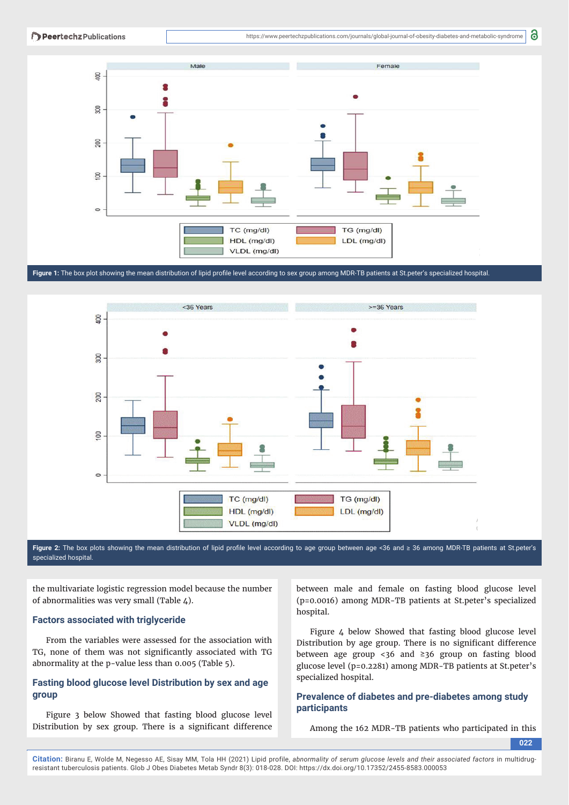

Figure 1: The box plot showing the mean distribution of lipid profile level according to sex group among MDR-TB patients at St.peter's specialized hospital.



Figure 2: The box plots showing the mean distribution of lipid profile level according to age group between age <36 and ≥ 36 among MDR-TB patients at St.peter's specialized hospital.

the multivariate logistic regression model because the number of abnormalities was very small (Table 4).

#### **Factors associated with triglyceride**

From the variables were assessed for the association with TG, none of them was not significantly associated with TG abnormality at the p-value less than 0.005 (Table 5).

## **Fasting blood glucose level Distribution by sex and age group**

Figure 3 below Showed that fasting blood glucose level Distribution by sex group. There is a significant difference

between male and female on fasting blood glucose level (p=0.0016) among MDR-TB patients at St.peter's specialized hospital.

Figure 4 below Showed that fasting blood glucose level Distribution by age group. There is no significant difference between age group <36 and ≥36 group on fasting blood glucose level (p=0.2281) among MDR-TB patients at St.peter's specialized hospital.

## **Prevalence of diabetes and pre-diabetes among study participants**

Among the 162 MDR-TB patients who participated in this

**022**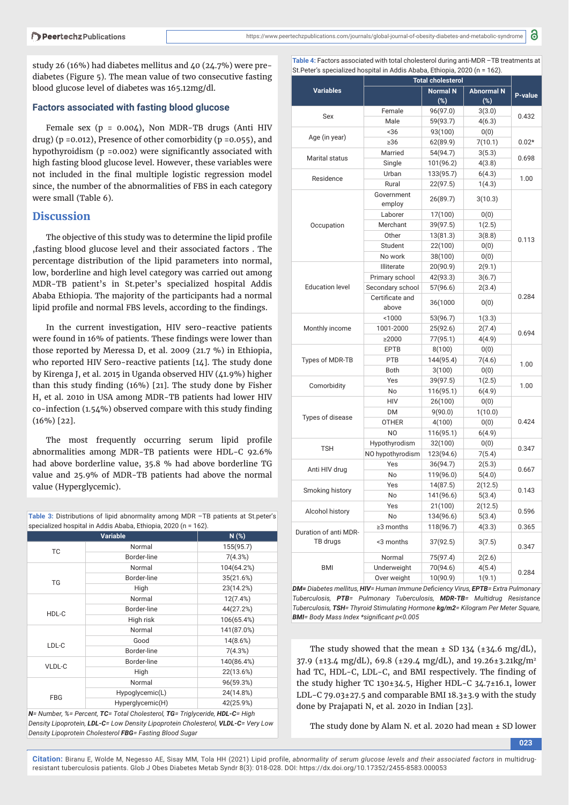study 26 (16%) had diabetes mellitus and 40 (24.7%) were prediabetes (Figure 5). The mean value of two consecutive fasting blood glucose level of diabetes was 165.12mg/dl.

#### **Factors associated with fasting blood glucose**

Female sex ( $p = 0.004$ ), Non MDR-TB drugs (Anti HIV drug) ( $p = 0.012$ ), Presence of other comorbidity ( $p = 0.055$ ), and hypothyroidism ( $p = 0.002$ ) were significantly associated with high fasting blood glucose level. However, these variables were not included in the final multiple logistic regression model since, the number of the abnormalities of FBS in each category were small (Table 6).

#### **Discussion**

The objective of this study was to determine the lipid profile ,fasting blood glucose level and their associated factors . The percentage distribution of the lipid parameters into normal, low, borderline and high level category was carried out among MDR-TB patient's in St.peter's specialized hospital Addis Ababa Ethiopia. The majority of the participants had a normal lipid profile and normal FBS levels, according to the findings.

In the current investigation, HIV sero-reactive patients were found in 16% of patients. These findings were lower than those reported by Meressa D, et al. 2009 (21.7 %) in Ethiopia, who reported HIV Sero-reactive patients [14]. The study done by Kirenga J, et al. 2015 in Uganda observed HIV (41.9%) higher than this study finding  $(16%)$  [21]. The study done by Fisher H, et al. 2010 in USA among MDR-TB patients had lower HIV  $co$ -infection (1.54%) observed compare with this study finding (16%) [22].

The most frequently occurring serum lipid profile abnormalities among MDR-TB patients were HDL-C 92.6% had above borderline value, 35.8 % had above borderline TG value and 25.9% of MDR-TB patients had above the normal value (Hyperglycemic).

| Table 3: Distributions of lipid abnormality among MDR -TB patients at St.peter's |  |  |
|----------------------------------------------------------------------------------|--|--|
| specialized hospital in Addis Ababa, Ethiopia, 2020 (n = 162).                   |  |  |

| <b>Variable</b> |                  | N(%)       |
|-----------------|------------------|------------|
| <b>TC</b>       | Normal           | 155(95.7)  |
|                 | Border-line      | 7(4.3%)    |
|                 | Normal           | 104(64.2%) |
| <b>TG</b>       | Border-line      | 35(21.6%)  |
|                 | High             | 23(14.2%)  |
|                 | Normal           | 12(7.4%)   |
| HDL-C           | Border-line      | 44(27.2%)  |
|                 | High risk        | 106(65.4%) |
| Normal          |                  | 141(87.0%) |
| LDL-C           | Good             | 14(8.6%)   |
|                 | Border-line      | 7(4.3%)    |
|                 | Border-line      | 140(86.4%) |
| VLDL-C          | High             | 22(13.6%)  |
|                 | Normal           | 96(59.3%)  |
| <b>FBG</b>      | Hypoglycemic(L)  | 24(14.8%)  |
|                 | Hyperglycemic(H) | 42(25.9%)  |

*N= Number, %= Percent, TC= Total Cholesterol, TG= Triglyceride, HDL-C= High Density Lipoprotein, LDL-C= Low Density Lipoprotein Cholesterol, VLDL-C= Very Low Density Lipoprotein Cholesterol FBG= Fasting Blood Sugar* 

**Table 4:** Factors associated with total cholesterol during anti-MDR –TB treatments at St.Peter's specialized hospital in Addis Ababa, Ethiopia, 2020 (n = 162).

|                        | <b>Total cholesterol</b> |                 |                   |         |  |
|------------------------|--------------------------|-----------------|-------------------|---------|--|
| <b>Variables</b>       |                          | <b>Normal N</b> | <b>Abnormal N</b> | P-value |  |
|                        |                          | $(\%)$          | (%)               |         |  |
| Sex                    | Female                   | 96(97.0)        | 3(3.0)            | 0.432   |  |
|                        | Male                     | 59(93.7)        | 4(6.3)            |         |  |
| Age (in year)          | < 36                     | 93(100)         | 0(0)              |         |  |
|                        | $\geq$ 36                | 62(89.9)        | 7(10.1)           | $0.02*$ |  |
| <b>Marital status</b>  | Married                  | 54(94.7)        | 3(5.3)            | 0.698   |  |
|                        | Single                   | 101(96.2)       | 4(3.8)            |         |  |
| Residence              | Urban                    | 133(95.7)       | 6(4.3)            | 1.00    |  |
|                        | Rural                    | 22(97.5)        | 1(4.3)            |         |  |
|                        | Government<br>employ     | 26(89.7)        | 3(10.3)           |         |  |
|                        | Laborer                  | 17(100)         | 0(0)              |         |  |
| Occupation             | Merchant                 | 39(97.5)        | 1(2.5)            |         |  |
|                        | Other                    | 13(81.3)        | 3(8.8)            | 0.113   |  |
|                        | Student                  | 22(100)         | 0(0)              |         |  |
|                        | No work                  | 38(100)         | 0(0)              |         |  |
|                        | Illiterate               | 20(90.9)        | 2(9.1)            |         |  |
|                        | Primary school           | 42(93.3)        | 3(6.7)            |         |  |
| <b>Education level</b> | Secondary school         | 57(96.6)        | 2(3.4)            |         |  |
|                        | Certificate and<br>above | 36(1000         | 0(0)              | 0.284   |  |
|                        | < 1000                   | 53(96.7)        | 1(3.3)            | 0.694   |  |
| Monthly income         | 1001-2000                | 25(92.6)        | 2(7.4)            |         |  |
|                        | ≥2000                    | 77(95.1)        | 4(4.9)            |         |  |
|                        | <b>EPTB</b>              | 8(100)          | 0(0)              |         |  |
| Types of MDR-TB        | <b>PTB</b>               | 144(95.4)       | 7(4.6)            |         |  |
|                        | Both                     | 3(100)          | 0(0)              | 1.00    |  |
|                        | Yes                      | 39(97.5)        | 1(2.5)            |         |  |
| Comorbidity            | No                       | 116(95.1)       | 6(4.9)            | 1.00    |  |
|                        | HIV                      | 26(100)         | 0(0)              |         |  |
|                        | DM                       | 9(90.0)         | 1(10.0)           |         |  |
| Types of disease       | <b>OTHER</b>             | 4(100)          | 0(0)              | 0.424   |  |
|                        | N <sub>O</sub>           | 116(95.1)       | 6(4.9)            |         |  |
|                        | Hypothyrodism            | 32(100)         | 0(0)              |         |  |
| TSH                    | NO hypothyrodism         | 123(94.6)       | 7(5.4)            | 0.347   |  |
|                        | Yes                      | 36(94.7)        | 2(5.3)            |         |  |
| Anti HIV drug          | No                       | 119(96.0)       | 5(4.0)            | 0.667   |  |
|                        | Yes                      | 14(87.5)        | 2(12.5)           |         |  |
| Smoking history        | No                       | 141(96.6)       | 5(3.4)            | 0.143   |  |
|                        | Yes                      | 21(100)         | 2(12.5)           |         |  |
| Alcohol history        | No                       | 134(96.6)       | 5(3.4)            | 0.596   |  |
| Duration of anti MDR-  | $\geq$ 3 months          | 118(96.7)       | 4(3.3)            | 0.365   |  |
| TB drugs               | <3 months                | 37(92.5)        | 3(7.5)            | 0.347   |  |
|                        | Normal                   | 75(97.4)        | 2(2.6)            |         |  |
| <b>BMI</b>             | Underweight              | 70(94.6)        | 4(5.4)            |         |  |
|                        | Over weight              | 10(90.9)        | 1(9.1)            | 0.284   |  |

*DM= Diabetes mellitus, HIV*= Human Immune Deficiency Virus, *EPTB*= Extra Pulmonary *Tuberculosis, PTB= Pulmonary Tuberculosis, MDR-TB= Multidrug Resistance Tuberculosis, TSH= Thyroid Stimulating Hormone kg/m2= Kilogram Per Meter Square,*  **BMI**= Body Mass Index \*significant p<0.005

The study showed that the mean  $\pm$  SD 134 ( $\pm$ 34.6 mg/dL), 37.9 (±13.4 mg/dL), 69.8 (±29.4 mg/dL), and 19.26±3.21kg/m2 had TC, HDL-C, LDL-C, and BMI respectively. The finding of the study higher TC 130±34.5, Higher HDL-C 34.7±16.1, lower LDL-C 79.03±27.5 and comparable BMI 18.3±3.9 with the study done by Prajapati N, et al. 2020 in Indian [23].

The study done by Alam N. et al. 2020 had mean ± SD lower

**023**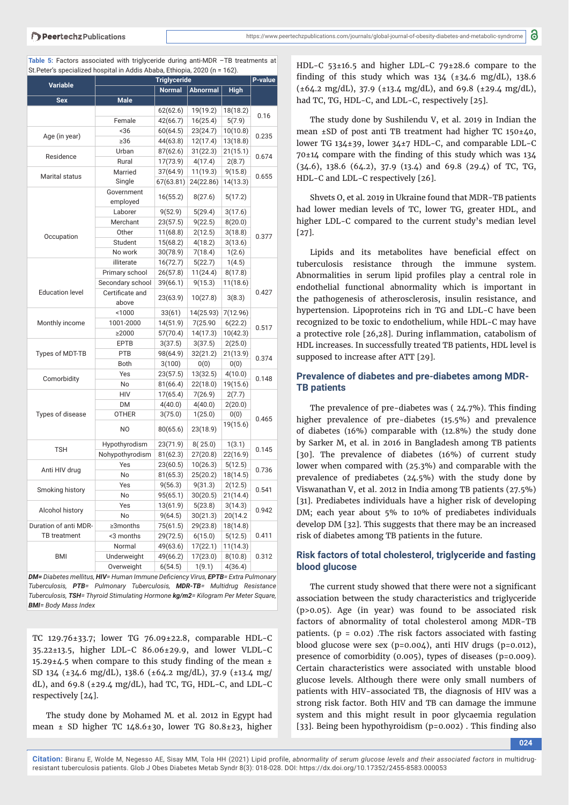| <b>Variable</b>        | <b>Triglyceride</b>      |               |                 | P-value     |       |  |
|------------------------|--------------------------|---------------|-----------------|-------------|-------|--|
|                        |                          | <b>Normal</b> | <b>Abnormal</b> | <b>High</b> |       |  |
| <b>Sex</b>             | <b>Male</b>              |               |                 |             |       |  |
|                        |                          | 62(62.6)      | 19(19.2)        | 18(18.2)    |       |  |
|                        | Female                   | 42(66.7)      | 16(25.4)        | 5(7.9)      | 0.16  |  |
|                        | ~136                     | 60(64.5)      | 23(24.7)        | 10(10.8)    |       |  |
| Age (in year)          | $\geq$ 36                | 44(63.8)      | 12(17.4)        | 13(18.8)    | 0.235 |  |
|                        | Urban                    | 87(62.6)      | 31(22.3)        | 21(15.1)    |       |  |
| Residence              | Rural                    | 17(73.9)      | 4(17.4)         | 2(8.7)      | 0.674 |  |
|                        | Married                  | 37(64.9)      | 11(19.3)        | 9(15.8)     |       |  |
| Marital status         | Single                   | 67(63.81)     | 24(22.86)       | 14(13.3)    | 0.655 |  |
|                        | Government<br>employed   | 16(55.2)      | 8(27.6)         | 5(17.2)     |       |  |
|                        | Laborer                  | 9(52.9)       | 5(29.4)         | 3(17.6)     |       |  |
|                        | Merchant                 | 23(57.5)      | 9(22.5)         | 8(20.0)     |       |  |
|                        | Other                    | 11(68.8)      | 2(12.5)         | 3(18.8)     |       |  |
| Occupation             | Student                  | 15(68.2)      | 4(18.2)         | 3(13.6)     | 0.377 |  |
|                        | No work                  | 30(78.9)      | 7(18.4)         | 1(2.6)      |       |  |
|                        | illiterate               | 16(72.7)      | 5(22.7)         | 1(4.5)      |       |  |
|                        | Primary school           | 26(57.8)      | 11(24.4)        | 8(17.8)     |       |  |
|                        | Secondary school         | 39(66.1)      | 9(15.3)         | 11(18.6)    |       |  |
| <b>Education level</b> | Certificate and<br>above | 23(63.9)      | 10(27.8)        | 3(8.3)      | 0.427 |  |
|                        | < 1000                   | 33(61)        | 14(25.93)       | 7(12.96)    |       |  |
| Monthly income         | 1001-2000                | 14(51.9)      | 7(25.90         | 6(22.2)     |       |  |
|                        | ≥2000                    | 57(70.4)      | 14(17.3)        | 10(42.3)    | 0.517 |  |
|                        | <b>EPTB</b>              | 3(37.5)       | 3(37.5)         | 2(25.0)     |       |  |
| Types of MDT-TB        | PTB                      | 98(64.9)      | 32(21.2)        | 21(13.9)    |       |  |
|                        | <b>Both</b>              | 3(100)        | 0(0)            | 0(0)        | 0.374 |  |
|                        | Yes                      | 23(57.5)      | 13(32.5)        | 4(10.0)     |       |  |
| Comorbidity            | No                       | 81(66.4)      | 22(18.0)        | 19(15.6)    | 0.148 |  |
|                        | HIV                      | 17(65.4)      | 7(26.9)         | 2(7.7)      |       |  |
|                        | <b>DM</b>                | 4(40.0)       | 4(40.0)         | 2(20.0)     |       |  |
| Types of disease       | <b>OTHER</b>             | 3(75.0)       | 1(25.0)         | 0(0)        |       |  |
|                        | N <sub>O</sub>           | 80(65.6)      | 23(18.9)        | 19(15.6)    | 0.465 |  |
|                        | Hypothyrodism            | 23(71.9)      | 8(25.0)         | 1(3.1)      |       |  |
| <b>TSH</b>             | Nohypothyrodism          | 81(62.3)      | 27(20.8)        | 22(16.9)    | 0.145 |  |
|                        | Yes                      | 23(60.5)      | 10(26.3)        | 5(12.5)     |       |  |
| Anti HIV drug          | No                       | 81(65.3)      | 25(20.2)        | 18(14.5)    | 0.736 |  |
|                        | Yes                      | 9(56.3)       | 9(31.3)         | 2(12.5)     |       |  |
| Smoking history        | <b>No</b>                | 95(65.1)      | 30(20.5)        | 21(14.4)    | 0.541 |  |
|                        | Yes                      | 13(61.9)      | 5(23.8)         | 3(14.3)     |       |  |
| Alcohol history        | No                       | 9(64.5)       | 30(21.3)        | 20(14.2     | 0.942 |  |
| Duration of anti MDR-  | ≥3months                 | 75(61.5)      | 29(23.8)        | 18(14.8)    |       |  |
| TB treatment           | <3 months                | 29(72.5)      | 6(15.0)         | 5(12.5)     | 0.411 |  |
|                        | Normal                   | 49(63.6)      | 17(22.1)        | 11(14.3)    |       |  |
| <b>BMI</b>             | Underweight              | 49(66.2)      | 17(23.0)        | 8(10.8)     | 0.312 |  |
|                        | Overweight               | 6(54.5)       | 1(9.1)          | 4(36.4)     |       |  |

| Table 5: Factors associated with triglyceride during anti-MDR -TB treatments at |  |
|---------------------------------------------------------------------------------|--|
| St. Peter's specialized hospital in Addis Ababa, Ethiopia, 2020 (n = 162).      |  |

*DM= Diabetes mellitus, HIV= Human Immune Defi ciency Virus, EPTB= Extra Pulmonary Tuberculosis, PTB= Pulmonary Tuberculosis, MDR-TB= Multidrug Resistance Tuberculosis, TSH= Thyroid Stimulating Hormone kg/m2= Kilogram Per Meter Square, BMI= Body Mass Index* 

TC 129.76±33.7; lower TG 76.09±22.8, comparable HDL-C 35.22±13.5, higher LDL-C 86.06±29.9, and lower VLDL-C 15.29 $\pm$ 4.5 when compare to this study finding of the mean  $\pm$ SD 134 (±34.6 mg/dL), 138.6 (±64.2 mg/dL), 37.9 (±13.4 mg/ dL), and  $69.8$  ( $\pm 29.4$  mg/dL), had TC, TG, HDL-C, and LDL-C respectively [24].

The study done by Mohamed M. et al. 2012 in Egypt had mean ± SD higher TC 148.6±30, lower TG 80.8±23, higher HDL-C 53±16.5 and higher LDL-C 79±28.6 compare to the finding of this study which was  $134$  ( $\pm 34.6$  mg/dL),  $138.6$ (±64.2 mg/dL), 37.9 (±13.4 mg/dL), and 69.8 (±29.4 mg/dL), had TC, TG, HDL-C, and LDL-C, respectively [25].

The study done by Sushilendu V, et al. 2019 in Indian the mean ±SD of post anti TB treatment had higher TC 150±40, lower TG 134±39, lower 34±7 HDL-C, and comparable LDL-C  $70±14$  compare with the finding of this study which was  $134$  $(34.6)$ ,  $138.6$   $(64.2)$ ,  $37.9$   $(13.4)$  and  $69.8$   $(29.4)$  of TC, TG, HDL-C and LDL-C respectively [26].

Shvets O, et al. 2019 in Ukraine found that MDR-TB patients had lower median levels of TC, lower TG, greater HDL, and higher LDL-C compared to the current study's median level [27].

Lipids and its metabolites have beneficial effect on tuberculosis resistance through the immune system. Abnormalities in serum lipid profiles play a central role in endothelial functional abnormality which is important in the pathogenesis of atherosclerosis, insulin resistance, and hypertension. Lipoproteins rich in TG and LDL-C have been recognized to be toxic to endothelium, while HDL-C may have a protective role [26,28]. During inflammation, catabolism of HDL increases. In successfully treated TB patients, HDL level is supposed to increase after ATT [29].

## **Prevalence of diabetes and pre-diabetes among MDR-TB patients**

The prevalence of pre-diabetes was  $(24.7\%)$ . This finding higher prevalence of pre-diabetes (15.5%) and prevalence of diabetes (16%) comparable with (12.8%) the study done by Sarker M, et al. in 2016 in Bangladesh among TB patients [30]. The prevalence of diabetes (16%) of current study lower when compared with (25.3%) and comparable with the prevalence of prediabetes (24.5%) with the study done by Viswanathan V, et al. 2012 in India among TB patients (27.5%) [31]. Prediabetes individuals have a higher risk of developing DM; each year about 5% to 10% of prediabetes individuals develop DM [32]. This suggests that there may be an increased risk of diabetes among TB patients in the future.

#### **Risk factors of total cholesterol, triglyceride and fasting blood glucose**

The current study showed that there were not a significant association between the study characteristics and triglyceride (p>0.05). Age (in year) was found to be associated risk factors of abnormality of total cholesterol among MDR-TB patients. (p = 0.02) .The risk factors associated with fasting blood glucose were sex (p=0.004), anti HIV drugs (p=0.012), presence of comorbidity (0.005), types of diseases (p=0.009). Certain characteristics were associated with unstable blood glucose levels. Although there were only small numbers of patients with HIV-associated TB, the diagnosis of HIV was a strong risk factor. Both HIV and TB can damage the immune system and this might result in poor glycaemia regulation [33]. Being been hypothyroidism  $(p=0.002)$ . This finding also

**024**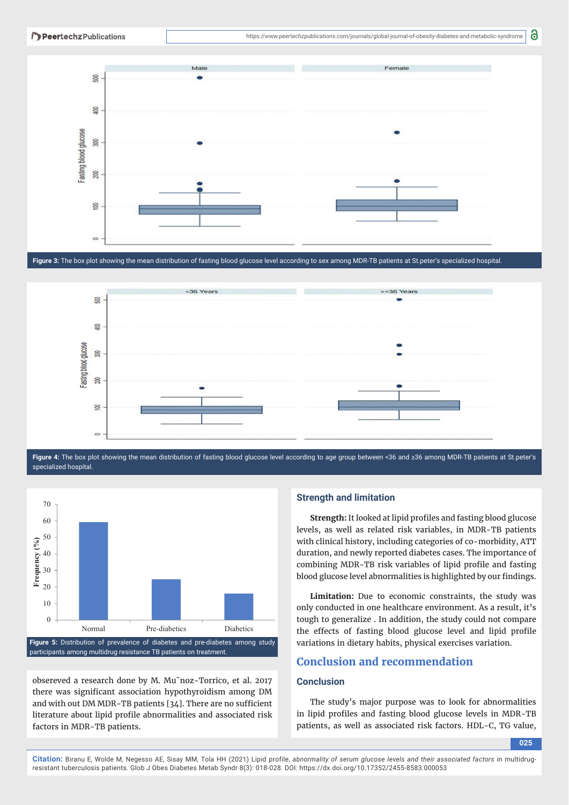

Figure 3: The box plot showing the mean distribution of fasting blood glucose level according to sex among MDR-TB patients at St.peter's specialized hospital



**Figure 4:** The box plot showing the mean distribution of fasting blood glucose level according to age group between <36 and ≥36 among MDR-TB patients at St.peter's specialized hospital.



obsereved a research done by M. Mu˜noz-Torrico, et al. 2017 there was significant association hypothyroidism among DM and with out DM MDR-TB patients  $[34]$ . There are no sufficient literature about lipid profile abnormalities and associated risk factors in MDR-TB patients.

#### **Strength and limitation**

**Strength:** It looked at lipid profiles and fasting blood glucose levels, as well as related risk variables, in MDR-TB patients with clinical history, including categories of co-morbidity, ATT duration, and newly reported diabetes cases. The importance of combining MDR-TB risk variables of lipid profile and fasting blood glucose level abnormalities is highlighted by our findings.

**Limitation:** Due to economic constraints, the study was only conducted in one healthcare environment. As a result, it's tough to generalize . In addition, the study could not compare the effects of fasting blood glucose level and lipid profile variations in dietary habits, physical exercises variation.

## **Conclusion and recommendation**

#### **Conclusion**

The study's major purpose was to look for abnormalities in lipid profiles and fasting blood glucose levels in MDR-TB patients, as well as associated risk factors. HDL-C, TG value,

**025**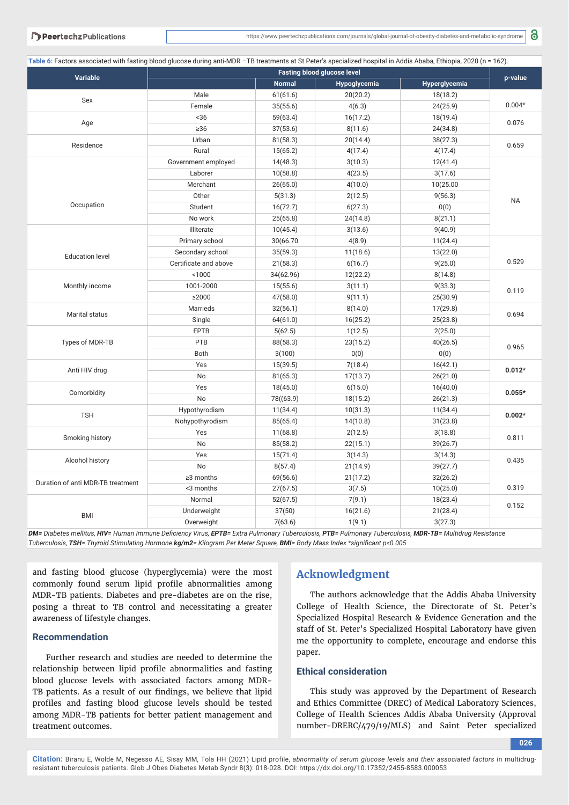| Table 6: Factors associated with fasting blood glucose during anti-MDR -TB treatments at St.Peter's specialized hospital in Addis Ababa, Ethiopia, 2020 (n = 162). |                                    |               |              |               |           |
|--------------------------------------------------------------------------------------------------------------------------------------------------------------------|------------------------------------|---------------|--------------|---------------|-----------|
| <b>Variable</b>                                                                                                                                                    | <b>Fasting blood glucose level</b> |               |              |               | p-value   |
|                                                                                                                                                                    |                                    | <b>Normal</b> | Hypoglycemia | Hyperglycemia |           |
|                                                                                                                                                                    | Male                               | 61(61.6)      | 20(20.2)     | 18(18.2)      |           |
| Sex                                                                                                                                                                | Female                             | 35(55.6)      | 4(6.3)       | 24(25.9)      | $0.004*$  |
|                                                                                                                                                                    | ~56                                | 59(63.4)      | 16(17.2)     | 18(19.4)      | 0.076     |
| Age                                                                                                                                                                | $\geq$ 36                          | 37(53.6)      | 8(11.6)      | 24(34.8)      |           |
| Residence                                                                                                                                                          | Urban                              | 81(58.3)      | 20(14.4)     | 38(27.3)      |           |
|                                                                                                                                                                    | Rural                              | 15(65.2)      | 4(17.4)      | 4(17.4)       | 0.659     |
|                                                                                                                                                                    | Government employed                | 14(48.3)      | 3(10.3)      | 12(41.4)      |           |
|                                                                                                                                                                    | Laborer                            | 10(58.8)      | 4(23.5)      | 3(17.6)       |           |
|                                                                                                                                                                    | Merchant                           | 26(65.0)      | 4(10.0)      | 10(25.00      |           |
|                                                                                                                                                                    | Other                              | 5(31.3)       | 2(12.5)      | 9(56.3)       | <b>NA</b> |
| Occupation                                                                                                                                                         | Student                            | 16(72.7)      | 6(27.3)      | 0(0)          |           |
|                                                                                                                                                                    | No work                            | 25(65.8)      | 24(14.8)     | 8(21.1)       |           |
|                                                                                                                                                                    | illiterate                         | 10(45.4)      | 3(13.6)      | 9(40.9)       |           |
|                                                                                                                                                                    | Primary school                     | 30(66.70      | 4(8.9)       | 11(24.4)      |           |
| <b>Education level</b>                                                                                                                                             | Secondary school                   | 35(59.3)      | 11(18.6)     | 13(22.0)      |           |
|                                                                                                                                                                    | Certificate and above              | 21(58.3)      | 6(16.7)      | 9(25.0)       | 0.529     |
|                                                                                                                                                                    | < 1000                             | 34(62.96)     | 12(22.2)     | 8(14.8)       | 0.119     |
| Monthly income                                                                                                                                                     | 1001-2000                          | 15(55.6)      | 3(11.1)      | 9(33.3)       |           |
|                                                                                                                                                                    | ≥2000                              | 47(58.0)      | 9(11.1)      | 25(30.9)      |           |
|                                                                                                                                                                    | Marrieds                           | 32(56.1)      | 8(14.0)      | 17(29.8)      | 0.694     |
| Marital status                                                                                                                                                     | Single                             | 64(61.0)      | 16(25.2)     | 25(23.8)      |           |
|                                                                                                                                                                    | <b>EPTB</b>                        | 5(62.5)       | 1(12.5)      | 2(25.0)       |           |
| Types of MDR-TB                                                                                                                                                    | PTB                                | 88(58.3)      | 23(15.2)     | 40(26.5)      | 0.965     |
|                                                                                                                                                                    | <b>Both</b>                        | 3(100)        | 0(0)         | 0(0)          |           |
|                                                                                                                                                                    | Yes                                | 15(39.5)      | 7(18.4)      | 16(42.1)      | $0.012*$  |
| Anti HIV drug                                                                                                                                                      | No                                 | 81(65.3)      | 17(13.7)     | 26(21.0)      |           |
| Comorbidity                                                                                                                                                        | Yes                                | 18(45.0)      | 6(15.0)      | 16(40.0)      | $0.055*$  |
|                                                                                                                                                                    | No                                 | 78((63.9)     | 18(15.2)     | 26(21.3)      |           |
| <b>TSH</b>                                                                                                                                                         | Hypothyrodism                      | 11(34.4)      | 10(31.3)     | 11(34.4)      | $0.002*$  |
|                                                                                                                                                                    | Nohypothyrodism                    | 85(65.4)      | 14(10.8)     | 31(23.8)      |           |
|                                                                                                                                                                    | Yes                                | 11(68.8)      | 2(12.5)      | 3(18.8)       | 0.811     |
| Smoking history                                                                                                                                                    | No                                 | 85(58.2)      | 22(15.1)     | 39(26.7)      |           |
|                                                                                                                                                                    | Yes                                | 15(71.4)      | 3(14.3)      | 3(14.3)       | 0.435     |
| Alcohol history                                                                                                                                                    | No                                 | 8(57.4)       | 21(14.9)     | 39(27.7)      |           |
| Duration of anti MDR-TB treatment                                                                                                                                  | $\geq$ 3 months                    | 69(56.6)      | 21(17.2)     | 32(26.2)      |           |
|                                                                                                                                                                    | <3 months                          | 27(67.5)      | 3(7.5)       | 10(25.0)      | 0.319     |
|                                                                                                                                                                    | Normal                             | 52(67.5)      | 7(9.1)       | 18(23.4)      | 0.152     |
| <b>BMI</b>                                                                                                                                                         | Underweight                        | 37(50)        | 16(21.6)     | 21(28.4)      |           |
|                                                                                                                                                                    | Overweight                         | 7(63.6)       | 1(9.1)       | 3(27.3)       |           |
|                                                                                                                                                                    |                                    |               |              |               |           |

**DM=** Diabetes mellitus, HIV= Human Immune Deficiency Virus, EPTB= Extra Pulmonary Tuberculosis, PTB= Pulmonary Tuberculosis, MDR-TB= Multidrug Resistance *Tuberculosis, TSH= Thyroid Stimulating Hormone kg/m2= Kilogram Per Meter Square, BMI= Body Mass Index \*signifi cant p<0.005*

and fasting blood glucose (hyperglycemia) were the most commonly found serum lipid profile abnormalities among MDR-TB patients. Diabetes and pre-diabetes are on the rise, posing a threat to TB control and necessitating a greater awareness of lifestyle changes.

#### **Recommendation**

Further research and studies are needed to determine the relationship between lipid profile abnormalities and fasting blood glucose levels with associated factors among MDR-TB patients. As a result of our findings, we believe that lipid profiles and fasting blood glucose levels should be tested among MDR-TB patients for better patient management and treatment outcomes.

## **Acknowledgment**

The authors acknowledge that the Addis Ababa University College of Health Science, the Directorate of St. Peter's Specialized Hospital Research & Evidence Generation and the staff of St. Peter's Specialized Hospital Laboratory have given me the opportunity to complete, encourage and endorse this paper.

#### **Ethical consideration**

This study was approved by the Department of Research and Ethics Committee (DREC) of Medical Laboratory Sciences, College of Health Sciences Addis Ababa University (Approval number-DRERC/479/19/MLS) and Saint Peter specialized

**026**

8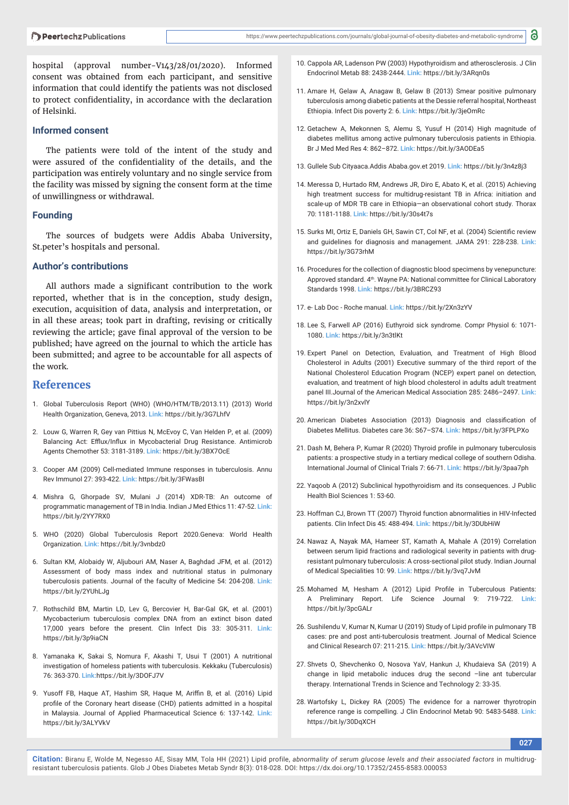hospital (approval number-V143/28/01/2020). Informed consent was obtained from each participant, and sensitive information that could identify the patients was not disclosed to protect confidentiality, in accordance with the declaration of Helsinki.

#### **Informed consent**

The patients were told of the intent of the study and were assured of the confidentiality of the details, and the participation was entirely voluntary and no single service from the facility was missed by signing the consent form at the time of unwillingness or withdrawal.

#### **Founding**

The sources of budgets were Addis Ababa University, St.peter's hospitals and personal.

#### **Author's contributions**

All authors made a significant contribution to the work reported, whether that is in the conception, study design, execution, acquisition of data, analysis and interpretation, or in all these areas; took part in drafting, revising or critically reviewing the article; gave final approval of the version to be published; have agreed on the journal to which the article has been submitted; and agree to be accountable for all aspects of the work.

#### **References**

- 1. Global Tuberculosis Report (WHO) (WHO/HTM/TB/2013.11) (2013) World Health Organization, Geneva, 2013. **Link:** https://bit.ly/3G7LhfV
- 2. Louw G, Warren R, Gey van Pittius N, McEvoy C, Van Helden P, et al. (2009) Balancing Act: Efflux/Influx in Mycobacterial Drug Resistance. Antimicrob Agents Chemother 53: 3181-3189. **Link:** https://bit.ly/3BX7OcE
- 3. Cooper AM (2009) Cell-mediated Immune responses in tuberculosis. Annu Rev Immunol 27: 393-422. **Link:** https://bit.ly/3FWasBI
- 4. Mishra G, Ghorpade SV, Mulani J (2014) XDR-TB: An outcome of programmatic management of TB in India. Indian J Med Ethics 11: 47-52. **Link:** https://bit.ly/2YY7RX0
- 5. WHO (2020) Global Tuberculosis Report 2020.Geneva: World Health Organization. **Link:** https://bit.ly/3vnbdz0
- 6. Sultan KM, Alobaidy W, Aljubouri AM, Naser A, Baghdad JFM, et al. (2012) Assessment of body mass index and nutritional status in pulmonary tuberculosis patients. Journal of the faculty of Medicine 54: 204-208. **Link:** https://bit.ly/2YUhLJg
- 7. Rothschild BM, Martin LD, Lev G, Bercovier H, Bar-Gal GK, et al. (2001) Mycobacterium tuberculosis complex DNA from an extinct bison dated 17,000 years before the present. Clin Infect Dis 33: 305-311. **Link:** https://bit.ly/3p9iaCN
- 8. Yamanaka K, Sakai S, Nomura F, Akashi T, Usui T (2001) A nutritional investigation of homeless patients with tuberculosis. Kekkaku (Tuberculosis) 76: 363-370. **Link:**https://bit.ly/3DOFJ7V
- 9. Yusoff FB, Haque AT, Hashim SR, Haque M, Ariffin B, et al. (2016) Lipid profile of the Coronary heart disease (CHD) patients admitted in a hospital in Malaysia. Journal of Applied Pharmaceutical Science 6: 137-142. **Link:**  https://bit.ly/3ALYVkV
- 10. Cappola AR, Ladenson PW (2003) Hypothyroidism and atherosclerosis. J Clin Endocrinol Metab 88: 2438-2444. **Link:** https://bit.ly/3ARqn0s
- 11. Amare H, Gelaw A, Anagaw B, Gelaw B (2013) Smear positive pulmonary tuberculosis among diabetic patients at the Dessie referral hospital, Northeast Ethiopia. Infect Dis poverty 2: 6. **Link:** https://bit.ly/3jeOmRc
- 12. Getachew A, Mekonnen S, Alemu S, Yusuf H (2014) High magnitude of diabetes mellitus among active pulmonary tuberculosis patients in Ethiopia. Br J Med Med Res 4: 862–872. **Link:** https://bit.ly/3AODEa5
- 13. Gullele Sub Cityaaca.Addis Ababa.gov.et 2019. **Link:** https://bit.ly/3n4z8j3
- 14. Meressa D, Hurtado RM, Andrews JR, Diro E, Abato K, et al. (2015) Achieving high treatment success for multidrug-resistant TB in Africa: initiation and scale-up of MDR TB care in Ethiopia—an observational cohort study. Thorax 70: 1181-1188. **Link:** https://bit.ly/30s4t7s
- 15. Surks MI, Ortiz E, Daniels GH, Sawin CT, Col NF, et al. (2004) Scientific review and guidelines for diagnosis and management. JAMA 291: 228-238. **Link:** https://bit.ly/3G73rhM
- 16. Procedures for the collection of diagnostic blood specimens by venepuncture: Approved standard. 4<sup>th</sup>. Wayne PA: National committee for Clinical Laboratory Standards 1998. **Link:** https://bit.ly/3BRCZ93
- 17. e- Lab Doc Roche manual. **Link:** https://bit.ly/2Xn3zYV
- 18. Lee S, Farwell AP (2016) Euthyroid sick syndrome. Compr Physiol 6: 1071- 1080. **Link:** https://bit.ly/3n3tlKt
- 19. Expert Panel on Detection, Evaluation, and Treatment of High Blood Cholesterol in Adults (2001) Executive summary of the third report of the National Cholesterol Education Program (NCEP) expert panel on detection, evaluation, and treatment of high blood cholesterol in adults adult treatment panel III.Journal of the American Medical Association 285: 2486–2497. **Link:** https://bit.ly/3n2xvlY
- 20. American Diabetes Association (2013) Diagnosis and classification of Diabetes Mellitus. Diabetes care 36: S67–S74. **Link:** https://bit.ly/3FPLPXo
- 21. Dash M, Behera P, Kumar R (2020) Thyroid profile in pulmonary tuberculosis patients: a prospective study in a tertiary medical college of southern Odisha. International Journal of Clinical Trials 7: 66-71. **Link:** https://bit.ly/3paa7ph
- 22. Yaqoob A (2012) Subclinical hypothyroidism and its consequences. J Public Health Biol Sciences 1: 53-60.
- 23. Hoffman CJ, Brown TT (2007) Thyroid function abnormalities in HIV-Infected patients. Clin Infect Dis 45: 488-494. **Link:** https://bit.ly/3DUbHiW
- 24. Nawaz A, Nayak MA, Hameer ST, Kamath A, Mahale A (2019) Correlation between serum lipid fractions and radiological severity in patients with drugresistant pulmonary tuberculosis: A cross-sectional pilot study. Indian Journal of Medical Specialities 10: 99. **Link:** https://bit.ly/3vq7JvM
- 25. Mohamed M, Hesham A (2012) Lipid Profile in Tuberculous Patients: A Preliminary Report. Life Science Journal 9: 719-722. **Link:** https://bit.ly/3pcGALr
- 26. Sushilendu V, Kumar N, Kumar U (2019) Study of Lipid profile in pulmonary TB cases: pre and post anti-tuberculosis treatment. Journal of Medical Science and Clinical Research 07: 211-215. **Link:** https://bit.ly/3AVcVIW
- 27. Shvets O, Shevchenko O, Nosova YaV, Hankun J, Khudaieva SA (2019) A change in lipid metabolic induces drug the second -line ant tubercular therapy. International Trends in Science and Technology 2: 33-35.
- 28. Wartofsky L, Dickey RA (2005) The evidence for a narrower thyrotropin reference range is compelling. J Clin Endocrinol Metab 90: 5483-5488. **Link:** https://bit.ly/30DqXCH

**027**